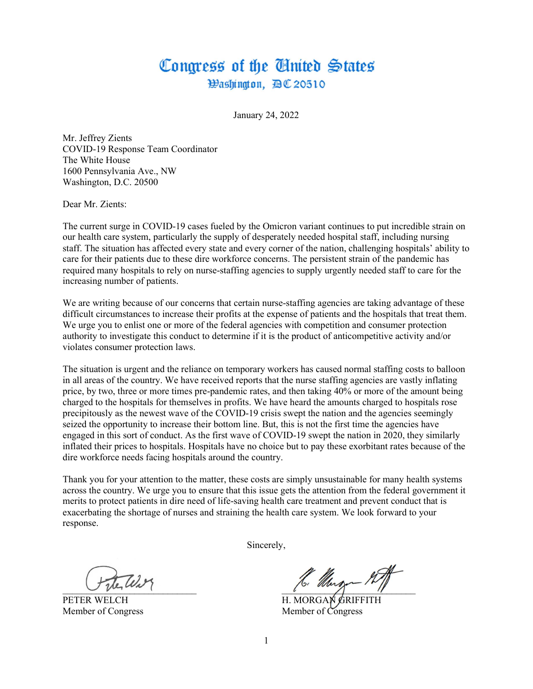## Congress of the Ginited States Hashington, 四C 20510

January 24, 2022

Mr. Jeffrey Zients COVID-19 Response Team Coordinator The White House 1600 Pennsylvania Ave., NW Washington, D.C. 20500

Dear Mr. Zients:

The current surge in COVID-19 cases fueled by the Omicron variant continues to put incredible strain on our health care system, particularly the supply of desperately needed hospital staff, including nursing staff. The situation has affected every state and every corner of the nation, challenging hospitals' ability to care for their patients due to these dire workforce concerns. The persistent strain of the pandemic has required many hospitals to rely on nurse-staffing agencies to supply urgently needed staff to care for the increasing number of patients.

We are writing because of our concerns that certain nurse-staffing agencies are taking advantage of these difficult circumstances to increase their profits at the expense of patients and the hospitals that treat them. We urge you to enlist one or more of the federal agencies with competition and consumer protection authority to investigate this conduct to determine if it is the product of anticompetitive activity and/or violates consumer protection laws.

The situation is urgent and the reliance on temporary workers has caused normal staffing costs to balloon in all areas of the country. We have received reports that the nurse staffing agencies are vastly inflating price, by two, three or more times pre-pandemic rates, and then taking 40% or more of the amount being charged to the hospitals for themselves in profits. We have heard the amounts charged to hospitals rose precipitously as the newest wave of the COVID-19 crisis swept the nation and the agencies seemingly seized the opportunity to increase their bottom line. But, this is not the first time the agencies have engaged in this sort of conduct. As the first wave of COVID-19 swept the nation in 2020, they similarly inflated their prices to hospitals. Hospitals have no choice but to pay these exorbitant rates because of the dire workforce needs facing hospitals around the country.

Thank you for your attention to the matter, these costs are simply unsustainable for many health systems across the country. We urge you to ensure that this issue gets the attention from the federal government it merits to protect patients in dire need of life-saving health care treatment and prevent conduct that is exacerbating the shortage of nurses and straining the health care system. We look forward to your response.

Sincerely,

 $\sim$  the number of the second second second second second second second second second second second second second second second second second second second second second second second second second second second second se

PETER WELCH H. MORGAN GRIFFITH Member of Congress Member of Congress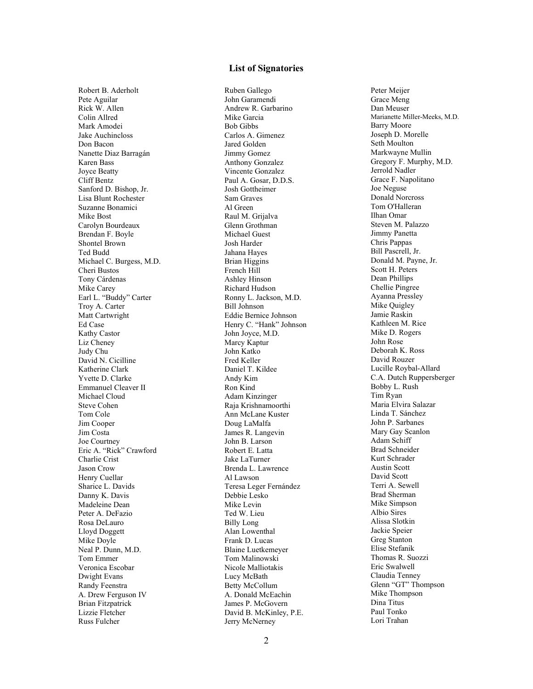## List of Signatories

Robert B. Aderholt Pete Aguilar Rick W. Allen Colin Allred Mark Amodei Jake Auchincloss Don Bacon Nanette Diaz Barragán Karen Bass Joyce Beatty Cliff Bentz Sanford D. Bishop, Jr. Lisa Blunt Rochester Suzanne Bonamici Mike Bost Carolyn Bourdeaux Brendan F. Boyle Shontel Brown Ted Budd Michael C. Burgess, M.D. Cheri Bustos Tony Cárdenas Mike Carey Earl L. "Buddy" Carter Troy A. Carter Matt Cartwright Ed Case Kathy Castor Liz Cheney Judy Chu David N. Cicilline Katherine Clark Yvette D. Clarke Emmanuel Cleaver II Michael Cloud Steve Cohen Tom Cole Jim Cooper Jim Costa Joe Courtney Eric A. "Rick" Crawford Charlie Crist Jason Crow Henry Cuellar Sharice L. Davids Danny K. Davis Madeleine Dean Peter A. DeFazio Rosa DeLauro Lloyd Doggett Mike Doyle Neal P. Dunn, M.D. Tom Emmer Veronica Escobar Dwight Evans Randy Feenstra A. Drew Ferguson IV Brian Fitzpatrick Lizzie Fletcher Russ Fulcher

Ruben Gallego John Garamendi Andrew R. Garbarino Mike Garcia Bob Gibbs Carlos A. Gimenez Jared Golden Jimmy Gomez Anthony Gonzalez Vincente Gonzalez Paul A. Gosar, D.D.S. Josh Gottheimer Sam Graves Al Green Raul M. Grijalva Glenn Grothman Michael Guest Josh Harder Jahana Hayes Brian Higgins French Hill Ashley Hinson Richard Hudson Ronny L. Jackson, M.D. Bill Johnson Eddie Bernice Johnson Henry C. "Hank" Johnson John Joyce, M.D. Marcy Kaptur John Katko Fred Keller Daniel T. Kildee Andy Kim Ron Kind Adam Kinzinger Raja Krishnamoorthi Ann McLane Kuster Doug LaMalfa James R. Langevin John B. Larson Robert E. Latta Jake LaTurner Brenda L. Lawrence Al Lawson Teresa Leger Fernández Debbie Lesko Mike Levin Ted W. Lieu Billy Long Alan Lowenthal Frank D. Lucas Blaine Luetkemeyer Tom Malinowski Nicole Malliotakis Lucy McBath Betty McCollum A. Donald McEachin James P. McGovern David B. McKinley, P.E. Jerry McNerney

Peter Meijer Grace Meng Dan Meuser Marianette Miller-Meeks, M.D. Barry Moore Joseph D. Morelle Seth Moulton Markwayne Mullin Gregory F. Murphy, M.D. Jerrold Nadler Grace F. Napolitano Joe Neguse Donald Norcross Tom O'Halleran Ilhan Omar Steven M. Palazzo Jimmy Panetta Chris Pappas Bill Pascrell, Jr. Donald M. Payne, Jr. Scott H. Peters Dean Phillips Chellie Pingree Ayanna Pressley Mike Quigley Jamie Raskin Kathleen M. Rice Mike D. Rogers John Rose Deborah K. Ross David Rouzer Lucille Roybal-Allard C.A. Dutch Ruppersberger Bobby L. Rush Tim Ryan Maria Elvira Salazar Linda T. Sánchez John P. Sarbanes Mary Gay Scanlon Adam Schiff Brad Schneider Kurt Schrader Austin Scott David Scott Terri A. Sewell Brad Sherman Mike Simpson Albio Sires Alissa Slotkin Jackie Speier Greg Stanton Elise Stefanik Thomas R. Suozzi Eric Swalwell Claudia Tenney Glenn "GT" Thompson Mike Thompson Dina Titus Paul Tonko Lori Trahan